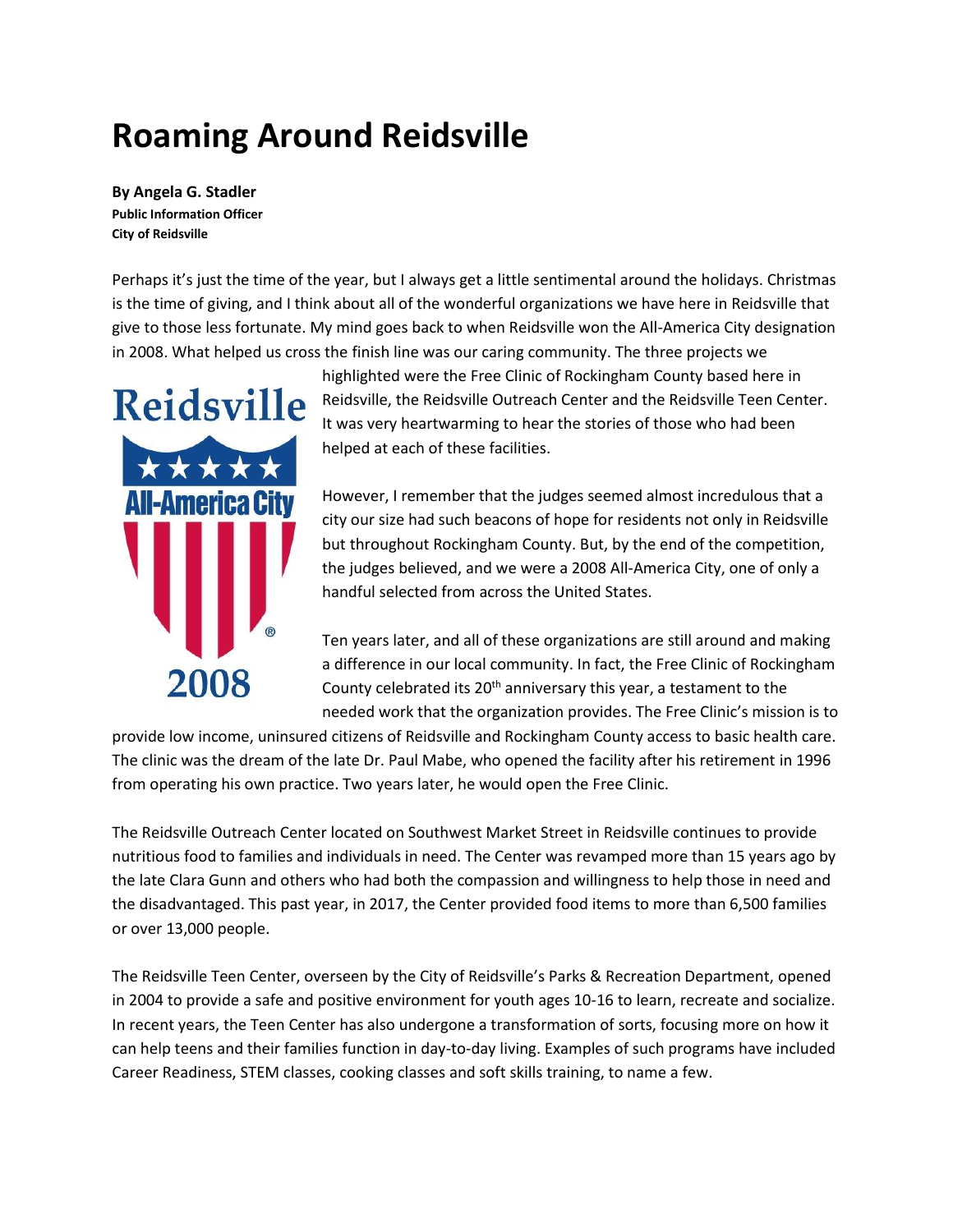## **Roaming Around Reidsville**

**By Angela G. Stadler Public Information Officer City of Reidsville**

Perhaps it's just the time of the year, but I always get a little sentimental around the holidays. Christmas is the time of giving, and I think about all of the wonderful organizations we have here in Reidsville that give to those less fortunate. My mind goes back to when Reidsville won the All-America City designation in 2008. What helped us cross the finish line was our caring community. The three projects we



highlighted were the Free Clinic of Rockingham County based here in Reidsville, the Reidsville Outreach Center and the Reidsville Teen Center. It was very heartwarming to hear the stories of those who had been helped at each of these facilities.

However, I remember that the judges seemed almost incredulous that a city our size had such beacons of hope for residents not only in Reidsville but throughout Rockingham County. But, by the end of the competition, the judges believed, and we were a 2008 All-America City, one of only a handful selected from across the United States.

Ten years later, and all of these organizations are still around and making a difference in our local community. In fact, the Free Clinic of Rockingham County celebrated its 20<sup>th</sup> anniversary this year, a testament to the needed work that the organization provides. The Free Clinic's mission is to

provide low income, uninsured citizens of Reidsville and Rockingham County access to basic health care. The clinic was the dream of the late Dr. Paul Mabe, who opened the facility after his retirement in 1996 from operating his own practice. Two years later, he would open the Free Clinic.

The Reidsville Outreach Center located on Southwest Market Street in Reidsville continues to provide nutritious food to families and individuals in need. The Center was revamped more than 15 years ago by the late Clara Gunn and others who had both the compassion and willingness to help those in need and the disadvantaged. This past year, in 2017, the Center provided food items to more than 6,500 families or over 13,000 people.

The Reidsville Teen Center, overseen by the City of Reidsville's Parks & Recreation Department, opened in 2004 to provide a safe and positive environment for youth ages 10-16 to learn, recreate and socialize. In recent years, the Teen Center has also undergone a transformation of sorts, focusing more on how it can help teens and their families function in day-to-day living. Examples of such programs have included Career Readiness, STEM classes, cooking classes and soft skills training, to name a few.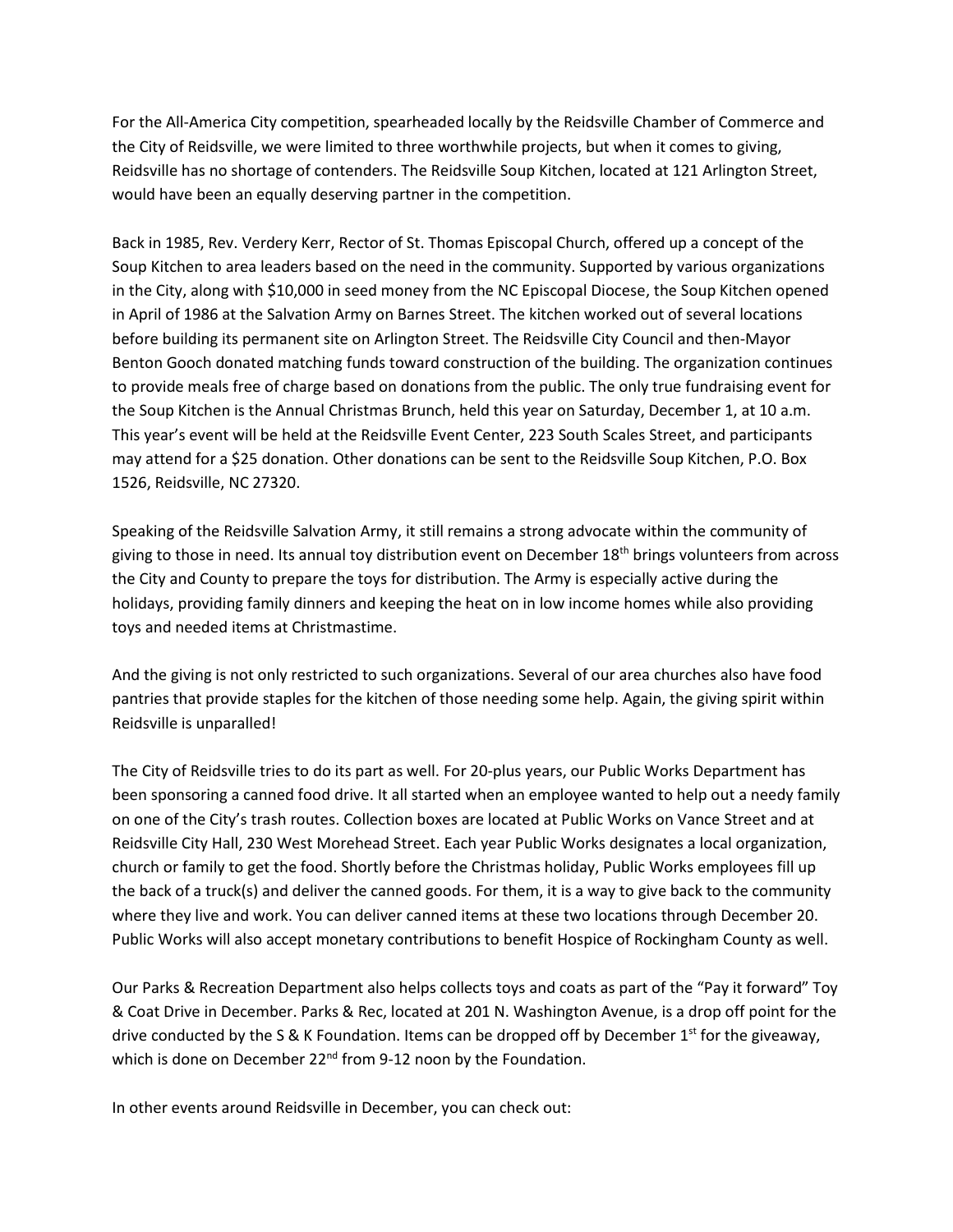For the All-America City competition, spearheaded locally by the Reidsville Chamber of Commerce and the City of Reidsville, we were limited to three worthwhile projects, but when it comes to giving, Reidsville has no shortage of contenders. The Reidsville Soup Kitchen, located at 121 Arlington Street, would have been an equally deserving partner in the competition.

Back in 1985, Rev. Verdery Kerr, Rector of St. Thomas Episcopal Church, offered up a concept of the Soup Kitchen to area leaders based on the need in the community. Supported by various organizations in the City, along with \$10,000 in seed money from the NC Episcopal Diocese, the Soup Kitchen opened in April of 1986 at the Salvation Army on Barnes Street. The kitchen worked out of several locations before building its permanent site on Arlington Street. The Reidsville City Council and then-Mayor Benton Gooch donated matching funds toward construction of the building. The organization continues to provide meals free of charge based on donations from the public. The only true fundraising event for the Soup Kitchen is the Annual Christmas Brunch, held this year on Saturday, December 1, at 10 a.m. This year's event will be held at the Reidsville Event Center, 223 South Scales Street, and participants may attend for a \$25 donation. Other donations can be sent to the Reidsville Soup Kitchen, P.O. Box 1526, Reidsville, NC 27320.

Speaking of the Reidsville Salvation Army, it still remains a strong advocate within the community of giving to those in need. Its annual toy distribution event on December 18<sup>th</sup> brings volunteers from across the City and County to prepare the toys for distribution. The Army is especially active during the holidays, providing family dinners and keeping the heat on in low income homes while also providing toys and needed items at Christmastime.

And the giving is not only restricted to such organizations. Several of our area churches also have food pantries that provide staples for the kitchen of those needing some help. Again, the giving spirit within Reidsville is unparalled!

The City of Reidsville tries to do its part as well. For 20-plus years, our Public Works Department has been sponsoring a canned food drive. It all started when an employee wanted to help out a needy family on one of the City's trash routes. Collection boxes are located at Public Works on Vance Street and at Reidsville City Hall, 230 West Morehead Street. Each year Public Works designates a local organization, church or family to get the food. Shortly before the Christmas holiday, Public Works employees fill up the back of a truck(s) and deliver the canned goods. For them, it is a way to give back to the community where they live and work. You can deliver canned items at these two locations through December 20. Public Works will also accept monetary contributions to benefit Hospice of Rockingham County as well.

Our Parks & Recreation Department also helps collects toys and coats as part of the "Pay it forward" Toy & Coat Drive in December. Parks & Rec, located at 201 N. Washington Avenue, is a drop off point for the drive conducted by the S & K Foundation. Items can be dropped off by December  $1^{st}$  for the giveaway, which is done on December 22<sup>nd</sup> from 9-12 noon by the Foundation.

In other events around Reidsville in December, you can check out: